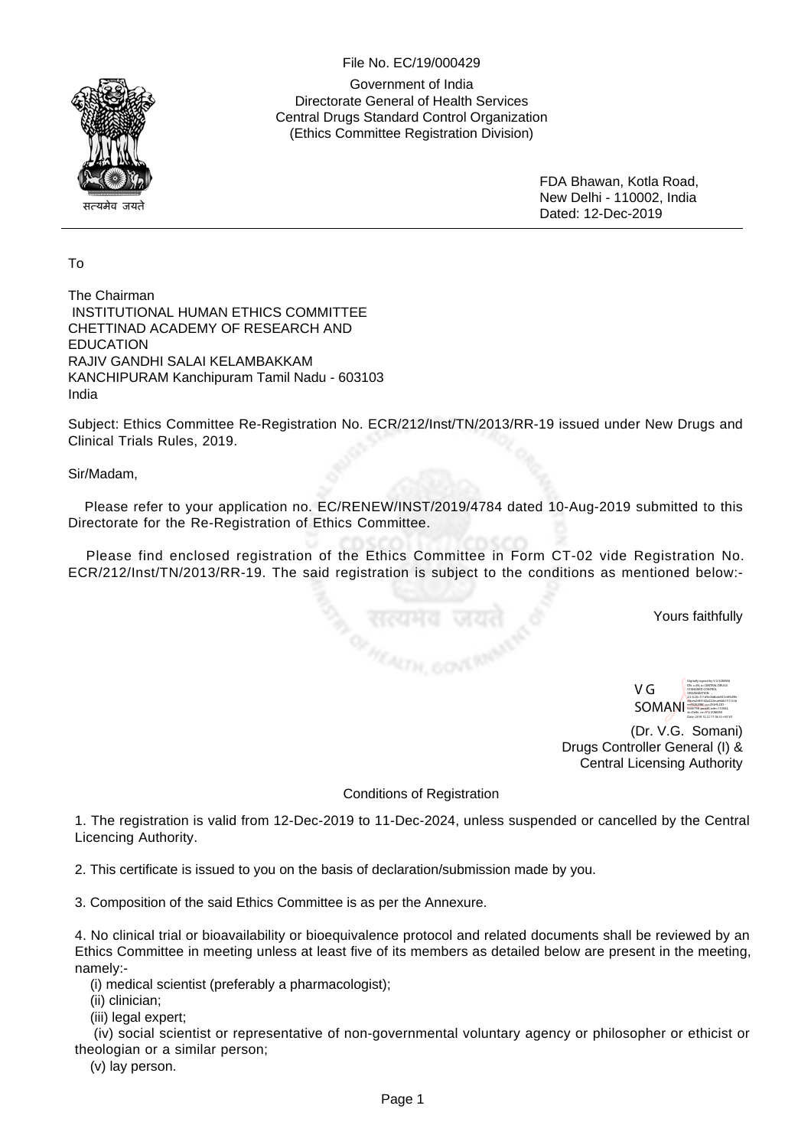## File No. EC/19/000429



Government of India Directorate General of Health Services Central Drugs Standard Control Organization (Ethics Committee Registration Division)

> FDA Bhawan, Kotla Road, New Delhi - 110002, India Dated: 12-Dec-2019

## To

The Chairman INSTITUTIONAL HUMAN ETHICS COMMITTEE CHETTINAD ACADEMY OF RESEARCH AND EDUCATION RAJIV GANDHI SALAI KELAMBAKKAM KANCHIPURAM Kanchipuram Tamil Nadu - 603103 India

Subject: Ethics Committee Re-Registration No. ECR/212/Inst/TN/2013/RR-19 issued under New Drugs and Clinical Trials Rules, 2019.

Sir/Madam,

 Please refer to your application no. EC/RENEW/INST/2019/4784 dated 10-Aug-2019 submitted to this Directorate for the Re-Registration of Ethics Committee.

 Please find enclosed registration of the Ethics Committee in Form CT-02 vide Registration No. ECR/212/Inst/TN/2013/RR-19. The said registration is subject to the conditions as mentioned below:-

<sub>े, सत्यमव ज</sub><br><sub>ाः ।।</sub><br>''

Yours faithfully

V G SOMANI Digitally signed by V G SOMANI DN: c=IN, o=CENTRAL DRUGS STANDARD CONTROL ORGANIZATION. ., 2.5.4.20=111d9c06dbcb941e6f5d9fe d4cea2e84142a222ecae4ab15112cb ee65202ff8f, ou=DGHS,CID - 6445798, postalCode=110002, st=Delhi, cn=V G SOMANI

Date: 2019.12.12 17:18:10 +05'30'

(Dr. V.G. Somani) Drugs Controller General (I) & Central Licensing Authority

## Conditions of Registration

1. The registration is valid from 12-Dec-2019 to 11-Dec-2024, unless suspended or cancelled by the Central Licencing Authority.

2. This certificate is issued to you on the basis of declaration/submission made by you.

3. Composition of the said Ethics Committee is as per the Annexure.

4. No clinical trial or bioavailability or bioequivalence protocol and related documents shall be reviewed by an Ethics Committee in meeting unless at least five of its members as detailed below are present in the meeting, namely:-

(i) medical scientist (preferably a pharmacologist);

(ii) clinician;

(iii) legal expert;

 (iv) social scientist or representative of non-governmental voluntary agency or philosopher or ethicist or theologian or a similar person;

(v) lay person.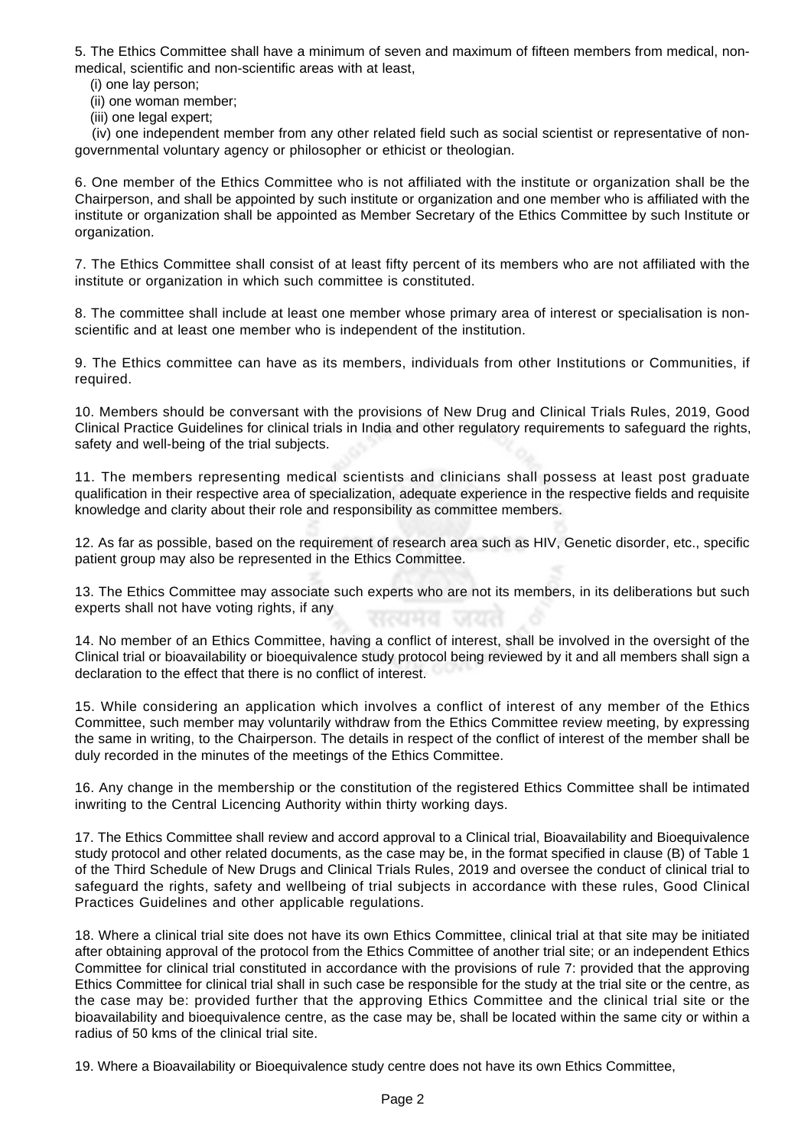5. The Ethics Committee shall have a minimum of seven and maximum of fifteen members from medical, nonmedical, scientific and non-scientific areas with at least,

- (i) one lay person;
- (ii) one woman member;
- (iii) one legal expert;

 (iv) one independent member from any other related field such as social scientist or representative of nongovernmental voluntary agency or philosopher or ethicist or theologian.

6. One member of the Ethics Committee who is not affiliated with the institute or organization shall be the Chairperson, and shall be appointed by such institute or organization and one member who is affiliated with the institute or organization shall be appointed as Member Secretary of the Ethics Committee by such Institute or organization.

7. The Ethics Committee shall consist of at least fifty percent of its members who are not affiliated with the institute or organization in which such committee is constituted.

8. The committee shall include at least one member whose primary area of interest or specialisation is nonscientific and at least one member who is independent of the institution.

9. The Ethics committee can have as its members, individuals from other Institutions or Communities, if required.

10. Members should be conversant with the provisions of New Drug and Clinical Trials Rules, 2019, Good Clinical Practice Guidelines for clinical trials in India and other regulatory requirements to safeguard the rights, safety and well-being of the trial subjects.

11. The members representing medical scientists and clinicians shall possess at least post graduate qualification in their respective area of specialization, adequate experience in the respective fields and requisite knowledge and clarity about their role and responsibility as committee members.

12. As far as possible, based on the requirement of research area such as HIV, Genetic disorder, etc., specific patient group may also be represented in the Ethics Committee.

13. The Ethics Committee may associate such experts who are not its members, in its deliberations but such experts shall not have voting rights, if any

14. No member of an Ethics Committee, having a conflict of interest, shall be involved in the oversight of the Clinical trial or bioavailability or bioequivalence study protocol being reviewed by it and all members shall sign a declaration to the effect that there is no conflict of interest.

15. While considering an application which involves a conflict of interest of any member of the Ethics Committee, such member may voluntarily withdraw from the Ethics Committee review meeting, by expressing the same in writing, to the Chairperson. The details in respect of the conflict of interest of the member shall be duly recorded in the minutes of the meetings of the Ethics Committee.

16. Any change in the membership or the constitution of the registered Ethics Committee shall be intimated inwriting to the Central Licencing Authority within thirty working days.

17. The Ethics Committee shall review and accord approval to a Clinical trial, Bioavailability and Bioequivalence study protocol and other related documents, as the case may be, in the format specified in clause (B) of Table 1 of the Third Schedule of New Drugs and Clinical Trials Rules, 2019 and oversee the conduct of clinical trial to safeguard the rights, safety and wellbeing of trial subjects in accordance with these rules, Good Clinical Practices Guidelines and other applicable regulations.

18. Where a clinical trial site does not have its own Ethics Committee, clinical trial at that site may be initiated after obtaining approval of the protocol from the Ethics Committee of another trial site; or an independent Ethics Committee for clinical trial constituted in accordance with the provisions of rule 7: provided that the approving Ethics Committee for clinical trial shall in such case be responsible for the study at the trial site or the centre, as the case may be: provided further that the approving Ethics Committee and the clinical trial site or the bioavailability and bioequivalence centre, as the case may be, shall be located within the same city or within a radius of 50 kms of the clinical trial site.

19. Where a Bioavailability or Bioequivalence study centre does not have its own Ethics Committee,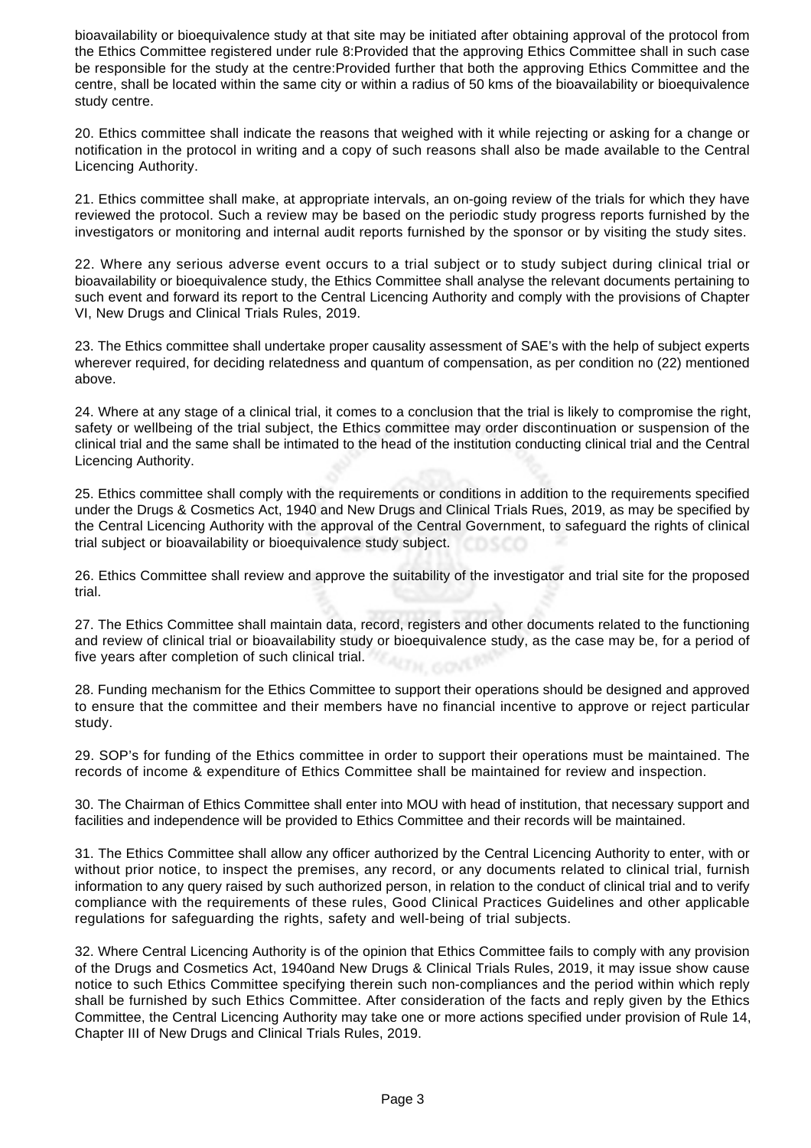bioavailability or bioequivalence study at that site may be initiated after obtaining approval of the protocol from the Ethics Committee registered under rule 8:Provided that the approving Ethics Committee shall in such case be responsible for the study at the centre:Provided further that both the approving Ethics Committee and the centre, shall be located within the same city or within a radius of 50 kms of the bioavailability or bioequivalence study centre.

20. Ethics committee shall indicate the reasons that weighed with it while rejecting or asking for a change or notification in the protocol in writing and a copy of such reasons shall also be made available to the Central Licencing Authority.

21. Ethics committee shall make, at appropriate intervals, an on-going review of the trials for which they have reviewed the protocol. Such a review may be based on the periodic study progress reports furnished by the investigators or monitoring and internal audit reports furnished by the sponsor or by visiting the study sites.

22. Where any serious adverse event occurs to a trial subject or to study subject during clinical trial or bioavailability or bioequivalence study, the Ethics Committee shall analyse the relevant documents pertaining to such event and forward its report to the Central Licencing Authority and comply with the provisions of Chapter VI, New Drugs and Clinical Trials Rules, 2019.

23. The Ethics committee shall undertake proper causality assessment of SAE's with the help of subject experts wherever required, for deciding relatedness and quantum of compensation, as per condition no (22) mentioned above.

24. Where at any stage of a clinical trial, it comes to a conclusion that the trial is likely to compromise the right, safety or wellbeing of the trial subject, the Ethics committee may order discontinuation or suspension of the clinical trial and the same shall be intimated to the head of the institution conducting clinical trial and the Central Licencing Authority.

25. Ethics committee shall comply with the requirements or conditions in addition to the requirements specified under the Drugs & Cosmetics Act, 1940 and New Drugs and Clinical Trials Rues, 2019, as may be specified by the Central Licencing Authority with the approval of the Central Government, to safeguard the rights of clinical trial subject or bioavailability or bioequivalence study subject.

26. Ethics Committee shall review and approve the suitability of the investigator and trial site for the proposed trial.

27. The Ethics Committee shall maintain data, record, registers and other documents related to the functioning and review of clinical trial or bioavailability study or bioequivalence study, as the case may be, for a period of five years after completion of such clinical trial.

28. Funding mechanism for the Ethics Committee to support their operations should be designed and approved to ensure that the committee and their members have no financial incentive to approve or reject particular study.

29. SOP's for funding of the Ethics committee in order to support their operations must be maintained. The records of income & expenditure of Ethics Committee shall be maintained for review and inspection.

30. The Chairman of Ethics Committee shall enter into MOU with head of institution, that necessary support and facilities and independence will be provided to Ethics Committee and their records will be maintained.

31. The Ethics Committee shall allow any officer authorized by the Central Licencing Authority to enter, with or without prior notice, to inspect the premises, any record, or any documents related to clinical trial, furnish information to any query raised by such authorized person, in relation to the conduct of clinical trial and to verify compliance with the requirements of these rules, Good Clinical Practices Guidelines and other applicable regulations for safeguarding the rights, safety and well-being of trial subjects.

32. Where Central Licencing Authority is of the opinion that Ethics Committee fails to comply with any provision of the Drugs and Cosmetics Act, 1940and New Drugs & Clinical Trials Rules, 2019, it may issue show cause notice to such Ethics Committee specifying therein such non-compliances and the period within which reply shall be furnished by such Ethics Committee. After consideration of the facts and reply given by the Ethics Committee, the Central Licencing Authority may take one or more actions specified under provision of Rule 14, Chapter III of New Drugs and Clinical Trials Rules, 2019.